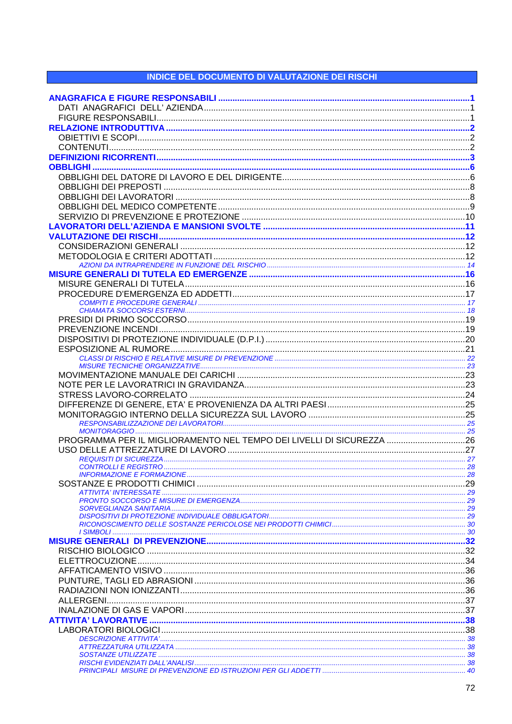## **INDICE DEL DOCUMENTO DI VALUTAZIONE DEI RISCHI**

| PROGRAMMA PER IL MIGLIORAMENTO NEL TEMPO DEI LIVELLI DI SICUREZZA 26 |  |
|----------------------------------------------------------------------|--|
|                                                                      |  |
|                                                                      |  |
|                                                                      |  |
|                                                                      |  |
|                                                                      |  |
|                                                                      |  |
|                                                                      |  |
|                                                                      |  |
|                                                                      |  |
|                                                                      |  |
|                                                                      |  |
|                                                                      |  |
|                                                                      |  |
|                                                                      |  |
|                                                                      |  |
|                                                                      |  |
|                                                                      |  |
|                                                                      |  |
|                                                                      |  |
|                                                                      |  |
|                                                                      |  |
|                                                                      |  |
|                                                                      |  |
|                                                                      |  |